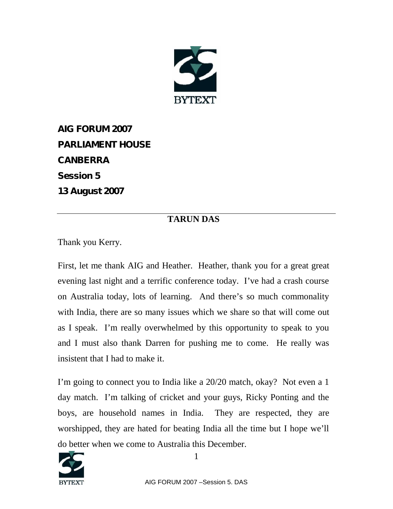

**AIG FORUM 2007 PARLIAMENT HOUSE CANBERRA Session 5 13 August 2007**

## **TARUN DAS**

Thank you Kerry.

First, let me thank AIG and Heather. Heather, thank you for a great great evening last night and a terrific conference today. I've had a crash course on Australia today, lots of learning. And there's so much commonality with India, there are so many issues which we share so that will come out as I speak. I'm really overwhelmed by this opportunity to speak to you and I must also thank Darren for pushing me to come. He really was insistent that I had to make it.

I'm going to connect you to India like a 20/20 match, okay? Not even a 1 day match. I'm talking of cricket and your guys, Ricky Ponting and the boys, are household names in India. They are respected, they are worshipped, they are hated for beating India all the time but I hope we'll do better when we come to Australia this December.

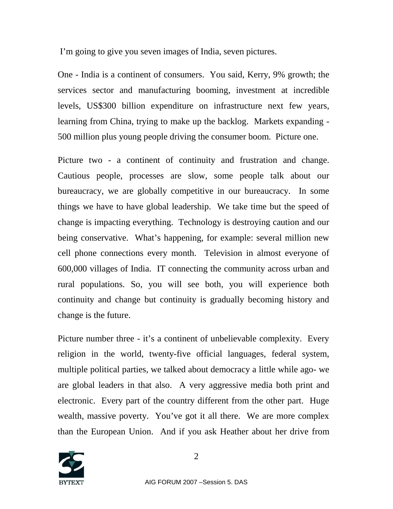I'm going to give you seven images of India, seven pictures.

One - India is a continent of consumers. You said, Kerry, 9% growth; the services sector and manufacturing booming, investment at incredible levels, US\$300 billion expenditure on infrastructure next few years, learning from China, trying to make up the backlog. Markets expanding - 500 million plus young people driving the consumer boom. Picture one.

Picture two - a continent of continuity and frustration and change. Cautious people, processes are slow, some people talk about our bureaucracy, we are globally competitive in our bureaucracy. In some things we have to have global leadership. We take time but the speed of change is impacting everything. Technology is destroying caution and our being conservative. What's happening, for example: several million new cell phone connections every month. Television in almost everyone of 600,000 villages of India. IT connecting the community across urban and rural populations. So, you will see both, you will experience both continuity and change but continuity is gradually becoming history and change is the future.

Picture number three - it's a continent of unbelievable complexity. Every religion in the world, twenty-five official languages, federal system, multiple political parties, we talked about democracy a little while ago- we are global leaders in that also. A very aggressive media both print and electronic. Every part of the country different from the other part. Huge wealth, massive poverty. You've got it all there. We are more complex than the European Union. And if you ask Heather about her drive from

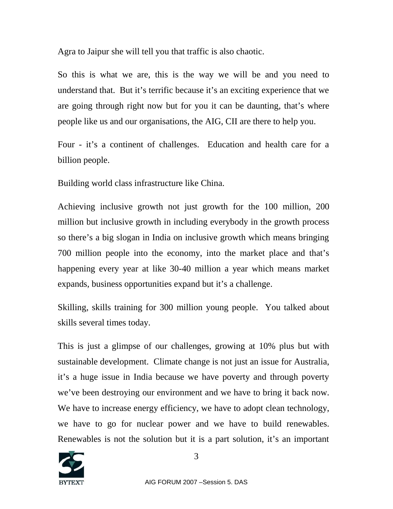Agra to Jaipur she will tell you that traffic is also chaotic.

So this is what we are, this is the way we will be and you need to understand that. But it's terrific because it's an exciting experience that we are going through right now but for you it can be daunting, that's where people like us and our organisations, the AIG, CII are there to help you.

Four - it's a continent of challenges. Education and health care for a billion people.

Building world class infrastructure like China.

Achieving inclusive growth not just growth for the 100 million, 200 million but inclusive growth in including everybody in the growth process so there's a big slogan in India on inclusive growth which means bringing 700 million people into the economy, into the market place and that's happening every year at like 30-40 million a year which means market expands, business opportunities expand but it's a challenge.

Skilling, skills training for 300 million young people. You talked about skills several times today.

This is just a glimpse of our challenges, growing at 10% plus but with sustainable development. Climate change is not just an issue for Australia, it's a huge issue in India because we have poverty and through poverty we've been destroying our environment and we have to bring it back now. We have to increase energy efficiency, we have to adopt clean technology, we have to go for nuclear power and we have to build renewables. Renewables is not the solution but it is a part solution, it's an important

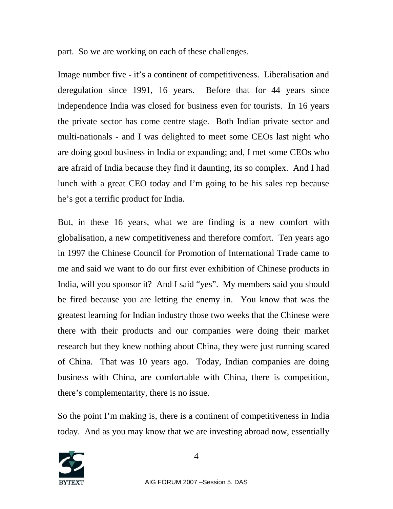part. So we are working on each of these challenges.

Image number five - it's a continent of competitiveness. Liberalisation and deregulation since 1991, 16 years. Before that for 44 years since independence India was closed for business even for tourists. In 16 years the private sector has come centre stage. Both Indian private sector and multi-nationals - and I was delighted to meet some CEOs last night who are doing good business in India or expanding; and, I met some CEOs who are afraid of India because they find it daunting, its so complex. And I had lunch with a great CEO today and I'm going to be his sales rep because he's got a terrific product for India.

But, in these 16 years, what we are finding is a new comfort with globalisation, a new competitiveness and therefore comfort. Ten years ago in 1997 the Chinese Council for Promotion of International Trade came to me and said we want to do our first ever exhibition of Chinese products in India, will you sponsor it? And I said "yes". My members said you should be fired because you are letting the enemy in. You know that was the greatest learning for Indian industry those two weeks that the Chinese were there with their products and our companies were doing their market research but they knew nothing about China, they were just running scared of China. That was 10 years ago. Today, Indian companies are doing business with China, are comfortable with China, there is competition, there's complementarity, there is no issue.

So the point I'm making is, there is a continent of competitiveness in India today. And as you may know that we are investing abroad now, essentially

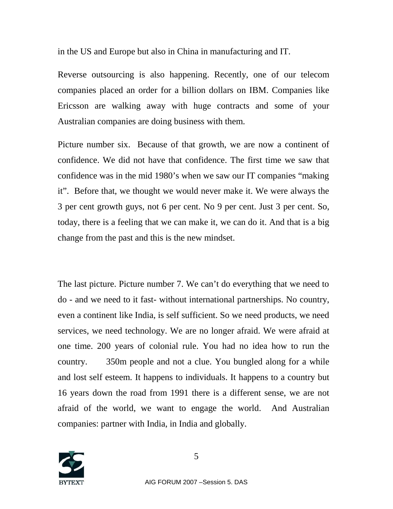in the US and Europe but also in China in manufacturing and IT.

Reverse outsourcing is also happening. Recently, one of our telecom companies placed an order for a billion dollars on IBM. Companies like Ericsson are walking away with huge contracts and some of your Australian companies are doing business with them.

Picture number six. Because of that growth, we are now a continent of confidence. We did not have that confidence. The first time we saw that confidence was in the mid 1980's when we saw our IT companies "making it". Before that, we thought we would never make it. We were always the 3 per cent growth guys, not 6 per cent. No 9 per cent. Just 3 per cent. So, today, there is a feeling that we can make it, we can do it. And that is a big change from the past and this is the new mindset.

The last picture. Picture number 7. We can't do everything that we need to do - and we need to it fast- without international partnerships. No country, even a continent like India, is self sufficient. So we need products, we need services, we need technology. We are no longer afraid. We were afraid at one time. 200 years of colonial rule. You had no idea how to run the country. 350m people and not a clue. You bungled along for a while and lost self esteem. It happens to individuals. It happens to a country but 16 years down the road from 1991 there is a different sense, we are not afraid of the world, we want to engage the world. And Australian companies: partner with India, in India and globally.

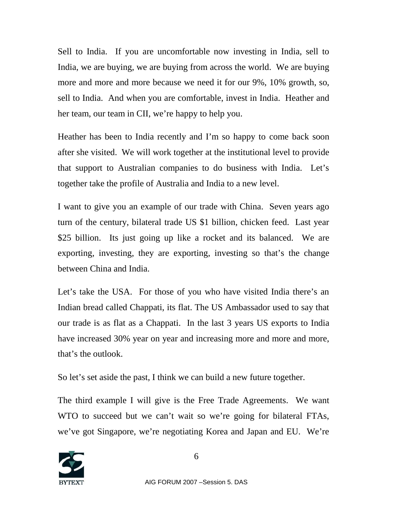Sell to India. If you are uncomfortable now investing in India, sell to India, we are buying, we are buying from across the world. We are buying more and more and more because we need it for our 9%, 10% growth, so, sell to India. And when you are comfortable, invest in India. Heather and her team, our team in CII, we're happy to help you.

Heather has been to India recently and I'm so happy to come back soon after she visited. We will work together at the institutional level to provide that support to Australian companies to do business with India. Let's together take the profile of Australia and India to a new level.

I want to give you an example of our trade with China. Seven years ago turn of the century, bilateral trade US \$1 billion, chicken feed. Last year \$25 billion. Its just going up like a rocket and its balanced. We are exporting, investing, they are exporting, investing so that's the change between China and India.

Let's take the USA. For those of you who have visited India there's an Indian bread called Chappati, its flat. The US Ambassador used to say that our trade is as flat as a Chappati. In the last 3 years US exports to India have increased 30% year on year and increasing more and more and more, that's the outlook.

So let's set aside the past, I think we can build a new future together.

The third example I will give is the Free Trade Agreements. We want WTO to succeed but we can't wait so we're going for bilateral FTAs, we've got Singapore, we're negotiating Korea and Japan and EU. We're